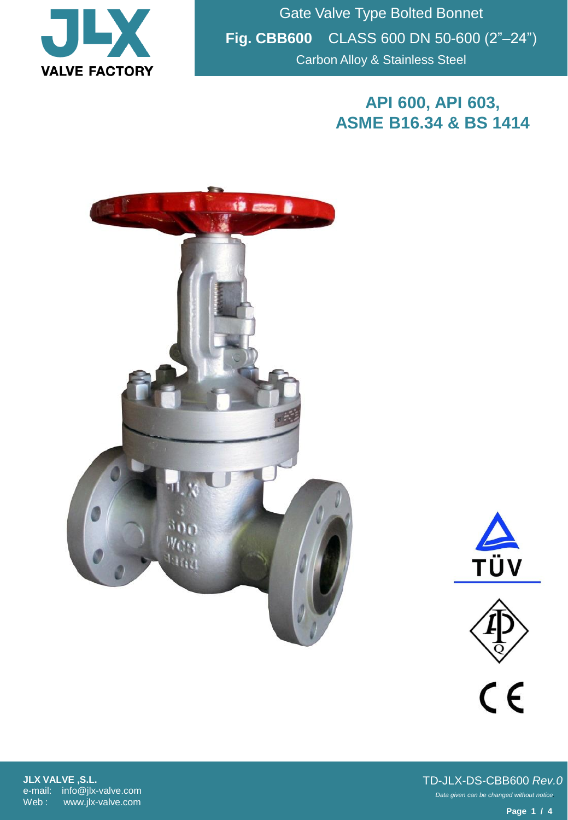

Gate Valve Type Bolted Bonnet **Fig. CBB600** CLASS 600 DN 50-600 (2"–24") Carbon Alloy & Stainless Steel

## **API 600, API 603, ASME B16.34 & BS 1414**







**JLX VALVE ,S.L.** e-mail: info@jlx-valve.com Web : www.jlx-valve.com

*Data given can be changed without notice.* TD-JLX-DS-CBB600 *Rev.0*

**Page 1 / 4**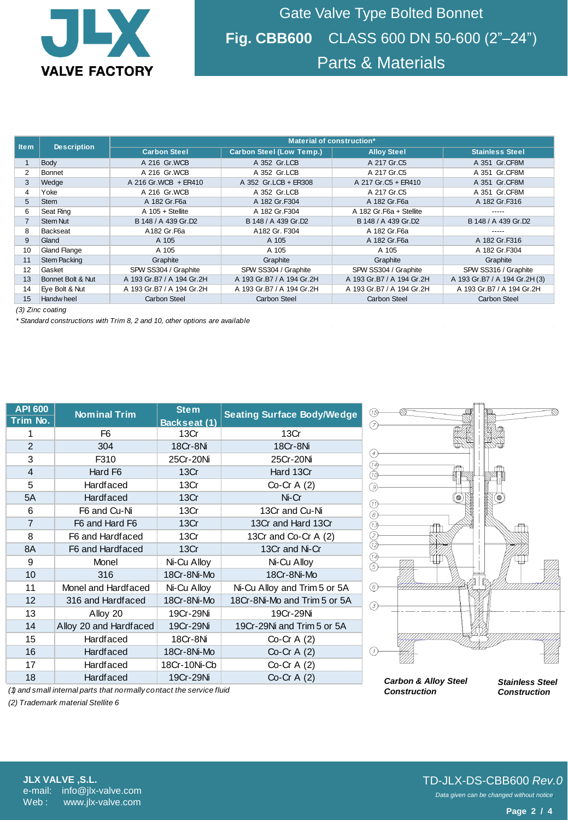

Gate Valve Type Bolted Bonnet **Fig. CBB600** CLASS 600 DN 50-600 (2"–24") Parts & Materials

| <b>Item</b>      | <b>Description</b>  | Material of construction* |                                 |                           |                               |  |  |  |
|------------------|---------------------|---------------------------|---------------------------------|---------------------------|-------------------------------|--|--|--|
|                  |                     | <b>Carbon Steel</b>       | <b>Carbon Steel (Low Temp.)</b> | <b>Alloy Steel</b>        | <b>Stainless Steel</b>        |  |  |  |
|                  | Body                | A 216 Gr.WCB              | A 352 Gr.LCB                    | A 217 Gr.C5               | A 351 Gr.CF8M                 |  |  |  |
| $\overline{2}$   | Bonnet              | A 216 Gr.WCB              | A 352 Gr.LCB                    | A 217 Gr.C5               | A 351 Gr.CF8M                 |  |  |  |
| 3                | Wedge               | A 216 Gr. WCB + ER410     | A 352 Gr.LCB + ER308            | A 217 Gr.C5 + ER410       | A 351 Gr.CF8M                 |  |  |  |
| 4                | Yoke                | A 216 Gr.WCB              | A 352 Gr.LCB                    | A 217 Gr.C5               | A 351 Gr.CF8M                 |  |  |  |
| 5                | <b>Stem</b>         | A 182 Gr. F6a             | A 182 Gr.F304                   | A 182 Gr. F6a             | A 182 Gr.F316                 |  |  |  |
| 6                | Seat Ring           | $A$ 105 + Stellite        | A 182 Gr.F304                   | A 182 Gr. F6a + Stellite  |                               |  |  |  |
|                  | <b>Stem Nut</b>     | B 148 / A 439 Gr.D2       | B 148 / A 439 Gr.D2             | B 148 / A 439 Gr.D2       | B 148 / A 439 Gr.D2           |  |  |  |
| 8                | <b>Backseat</b>     | A182 Gr.F6a               | A182 Gr. F304                   | A 182 Gr.F6a              |                               |  |  |  |
| 9                | Gland               | A 105                     | A 105                           | A 182 Gr. F6a             | A 182 Gr.F316                 |  |  |  |
| 10               | <b>Gland Flange</b> | A 105                     | A 105                           | A 105                     | A 182 Gr.F304                 |  |  |  |
| 11               | <b>Stem Packing</b> | Graphite                  | Graphite                        | Graphite                  | Graphite                      |  |  |  |
| 12               | Gasket              | SPW SS304 / Graphite      | SPW SS304 / Graphite            | SPW SS304 / Graphite      | SPW SS316 / Graphite          |  |  |  |
| 13               | Bonnet Bolt & Nut   | A 193 Gr.B7 / A 194 Gr.2H | A 193 Gr.B7 / A 194 Gr.2H       | A 193 Gr.B7 / A 194 Gr.2H | A 193 Gr.B7 / A 194 Gr.2H (3) |  |  |  |
| 14               | Eye Bolt & Nut      | A 193 Gr.B7 / A 194 Gr.2H | A 193 Gr.B7 / A 194 Gr.2H       | A 193 Gr.B7 / A 194 Gr.2H | A 193 Gr.B7 / A 194 Gr.2H     |  |  |  |
| 15               | Handw heel          | <b>Carbon Steel</b>       | <b>Carbon Steel</b>             | <b>Carbon Steel</b>       | <b>Carbon Steel</b>           |  |  |  |
| (3) Zinc coating |                     |                           |                                 |                           |                               |  |  |  |

*(3) Zinc coating*

*\* Standard constructions with Trim 8, 2 and 10, other options are available*

| <b>API 600</b><br>Trim No. | <b>Nominal Trim</b>    | <b>Stem</b><br>Backseat (1)   | <b>Seating Surface Body/Wedge</b> |  |
|----------------------------|------------------------|-------------------------------|-----------------------------------|--|
| 1                          | F <sub>6</sub>         | 13Cr                          | 13Cr                              |  |
| 2                          | 304                    | 18Cr-8Ni                      | 18Cr-8Ni                          |  |
| 3                          | F310                   | 25Cr-20Ni                     | 25Cr-20Ni                         |  |
| $\overline{4}$             | Hard F6                | 13Cr                          | Hard 13Cr                         |  |
| 5                          | <b>Hardfaced</b>       | 13Cr                          | Co-Cr A $(2)$                     |  |
| 5A                         | <b>Hardfaced</b>       | 13Cr                          | Ni-Cr                             |  |
| 6                          | F6 and Cu-Ni           | 13Cr                          | 13Cr and Cu-Ni                    |  |
| $\overline{7}$             | F6 and Hard F6         | 13Cr                          | 13Cr and Hard 13Cr                |  |
| 8                          | F6 and Hardfaced       | 13Cr                          | 13Cr and Co-Cr A (2)              |  |
| 8A                         | F6 and Hardfaced       | 13Cr                          | 13Cr and Ni-Cr                    |  |
| 9                          | <b>Monel</b>           | Ni-Cu Alloy                   | Ni-Cu Alloy                       |  |
| 10                         | 316                    | 18Cr-8Ni-Mo                   | 18Cr-8Ni-Mo                       |  |
| 11                         | Monel and Hardfaced    | Ni-Cu Alloy                   | Ni-Cu Alloy and Trim 5 or 5A      |  |
| 12                         | 316 and Hardfaced      | 18Cr-8Ni-Mo                   | 18Cr-8Ni-Mo and Trim 5 or 5A      |  |
| 13                         | Alloy 20               | 19Cr-29Ni                     | 19Cr-29Ni                         |  |
| 14                         | Alloy 20 and Hardfaced | 19Cr-29Ni                     | 19Cr-29Ni and Trim 5 or 5A        |  |
| 15                         | <b>Hardfaced</b>       | 18Cr-8Ni                      | Co-Cr $A(2)$                      |  |
| 16                         | <b>Hardfaced</b>       | 18Cr-8Ni-Mo                   | $Co-Cr A(2)$                      |  |
| 17                         | <b>Hardfaced</b>       | 18Cr-10Ni-Cb<br>Co-Cr A $(2)$ |                                   |  |
| 18                         | <b>Hardfaced</b>       | 19Cr-29Ni                     | $Co-Cr A(2)$                      |  |



*(1) and small internal parts that normally contact the service fluid*

*(2) Trademark material Stellite 6*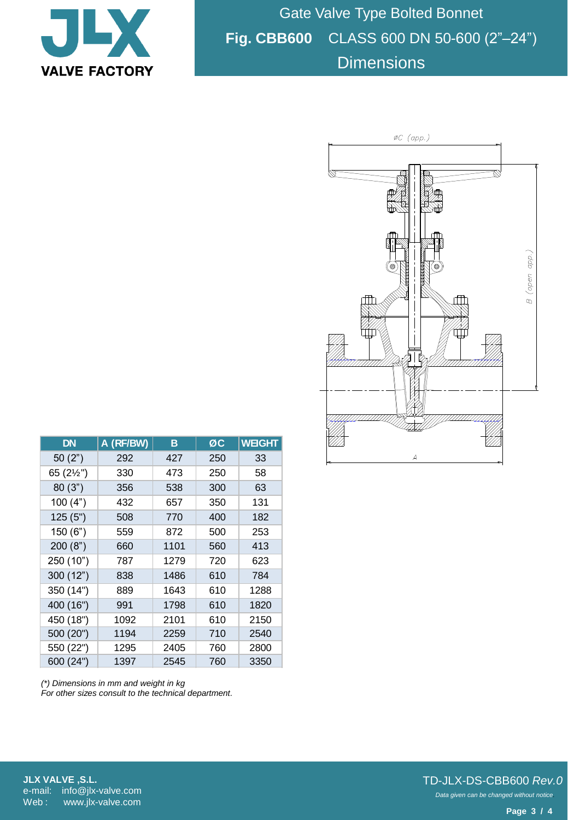

Gate Valve Type Bolted Bonnet **Fig. CBB600** CLASS 600 DN 50-600 (2"–24") **Dimensions** 



| <b>DN</b> | A (RF/BW) | в    | ØÇ  | <b>WEIGHT</b> |
|-----------|-----------|------|-----|---------------|
| 50(2")    | 292       | 427  | 250 | 33            |
| 65 (2½")  | 330       | 473  | 250 | 58            |
| 80(3")    | 356       | 538  | 300 | 63            |
| 100(4")   | 432       | 657  | 350 | 131           |
| 125(5")   | 508       | 770  | 400 | 182           |
| 150 (6")  | 559       | 872  | 500 | 253           |
| 200(8")   | 660       | 1101 | 560 | 413           |
| 250 (10") | 787       | 1279 | 720 | 623           |
| 300 (12") | 838       | 1486 | 610 | 784           |
| 350 (14") | 889       | 1643 | 610 | 1288          |
| 400 (16") | 991       | 1798 | 610 | 1820          |
| 450 (18") | 1092      | 2101 | 610 | 2150          |
| 500 (20") | 1194      | 2259 | 710 | 2540          |
| 550 (22") | 1295      | 2405 | 760 | 2800          |
| 600 (24") | 1397      | 2545 | 760 | 3350          |

*(\*) Dimensions in mm and weight in kg For other sizes consult to the technical department.*

**JLX VALVE ,S.L.** e-mail: info@jlx-valve.com Web: www.jlx-valve.com

## *Data given can be changed without notice.* TD-JLX-DS-CBB600 *Rev.0*

**Page 3 / 4**